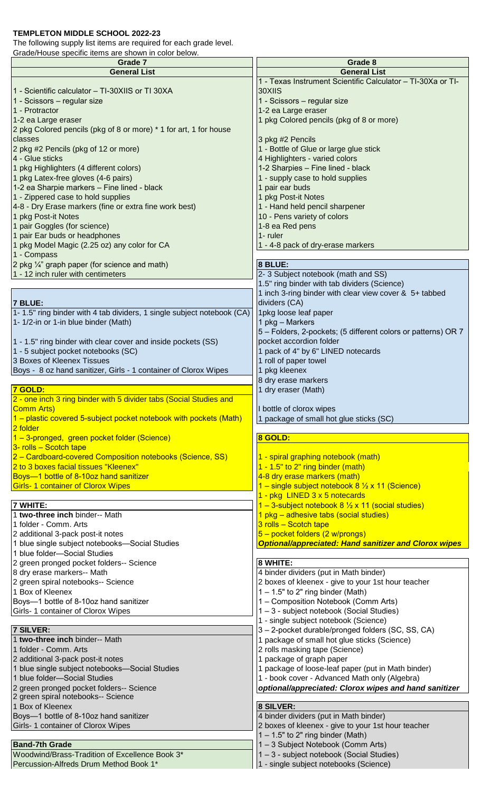## **TEMPLETON MIDDLE SCHOOL 2022-23**

The following supply list items are required for each grade level.

Grade/House specific items are shown in color below.

| Grade 7                                                                             | Grade 8                                                                                       |
|-------------------------------------------------------------------------------------|-----------------------------------------------------------------------------------------------|
| <b>General List</b>                                                                 | <b>General List</b>                                                                           |
|                                                                                     | 1 - Texas Instrument Scientific Calculator - TI-30Xa or TI-                                   |
| 1 - Scientific calculator - TI-30XIIS or TI 30XA                                    | 30XIIS                                                                                        |
| 1 - Scissors - regular size<br>1 - Protractor                                       | 1 - Scissors – regular size<br>1-2 ea Large eraser                                            |
| 1-2 ea Large eraser                                                                 | 1 pkg Colored pencils (pkg of 8 or more)                                                      |
| 2 pkg Colored pencils (pkg of 8 or more) * 1 for art, 1 for house                   |                                                                                               |
| classes                                                                             | 3 pkg #2 Pencils                                                                              |
| 2 pkg #2 Pencils (pkg of 12 or more)                                                | 1 - Bottle of Glue or large glue stick                                                        |
| 4 - Glue sticks                                                                     | 4 Highlighters - varied colors                                                                |
| 1 pkg Highlighters (4 different colors)                                             | 1-2 Sharpies - Fine lined - black                                                             |
| 1 pkg Latex-free gloves (4-6 pairs)                                                 | 1 - supply case to hold supplies                                                              |
| 1-2 ea Sharpie markers - Fine lined - black<br>1 - Zippered case to hold supplies   | 1 pair ear buds<br>1 pkg Post-it Notes                                                        |
| 4-8 - Dry Erase markers (fine or extra fine work best)                              | 1 - Hand held pencil sharpener                                                                |
| 1 pkg Post-it Notes                                                                 | 10 - Pens variety of colors                                                                   |
| 1 pair Goggles (for science)                                                        | 1-8 ea Red pens                                                                               |
| 1 pair Ear buds or headphones                                                       | 1- ruler                                                                                      |
| 1 pkg Model Magic (2.25 oz) any color for CA                                        | 1 - 4-8 pack of dry-erase markers                                                             |
| 1 - Compass                                                                         |                                                                                               |
| 2 pkg 1/4" graph paper (for science and math)<br>1 - 12 inch ruler with centimeters | 8 BLUE:                                                                                       |
|                                                                                     | 2-3 Subject notebook (math and SS)<br>1.5" ring binder with tab dividers (Science)            |
|                                                                                     | 1 inch 3-ring binder with clear view cover & 5+ tabbed                                        |
| 7 BLUE:                                                                             | dividers (CA)                                                                                 |
| 1- 1.5" ring binder with 4 tab dividers, 1 single subject notebook (CA)             | 1pkg loose leaf paper                                                                         |
| 1- 1/2-in or 1-in blue binder (Math)                                                | 1 pkg - Markers                                                                               |
|                                                                                     | 5 – Folders, 2-pockets; (5 different colors or patterns) OR 7                                 |
| 1 - 1.5" ring binder with clear cover and inside pockets (SS)                       | pocket accordion folder                                                                       |
| 1 - 5 subject pocket notebooks (SC)<br>3 Boxes of Kleenex Tissues                   | 1 pack of 4" by 6" LINED notecards<br>1 roll of paper towel                                   |
| Boys - 8 oz hand sanitizer, Girls - 1 container of Clorox Wipes                     | 1 pkg kleenex                                                                                 |
|                                                                                     | 8 dry erase markers                                                                           |
| 7 GOLD:                                                                             | 1 dry eraser (Math)                                                                           |
| 2 - one inch 3 ring binder with 5 divider tabs (Social Studies and                  |                                                                                               |
| Comm Arts)                                                                          | I bottle of clorox wipes                                                                      |
| 1 – plastic covered 5-subject pocket notebook with pockets (Math)                   | 1 package of small hot glue sticks (SC)                                                       |
| 2 folder<br>1 - 3-pronged, green pocket folder (Science)                            | 8 GOLD:                                                                                       |
| $3$ - rolls – Scotch tape                                                           |                                                                                               |
| 2 - Cardboard-covered Composition notebooks (Science, SS)                           | 1 - spiral graphing notebook (math)                                                           |
| 2 to 3 boxes facial tissues "Kleenex"                                               | $1 - 1.5"$ to 2" ring binder (math)                                                           |
| Boys-1 bottle of 8-10oz hand sanitizer                                              | 4-8 dry erase markers (math)                                                                  |
| <b>Girls-1 container of Clorox Wipes</b>                                            | 1 – single subject notebook 8 1/2 x 11 (Science)                                              |
| 7 WHITE:                                                                            | 1 - pkg LINED 3 x 5 notecards<br>1 – 3-subject notebook 8 $\frac{1}{2}$ x 11 (social studies) |
| 1 two-three inch binder-- Math                                                      | 1 pkg – adhesive tabs (social studies)                                                        |
| 1 folder - Comm. Arts                                                               | $3$ rolls - Scotch tape                                                                       |
| 2 additional 3-pack post-it notes                                                   | $5 - pocket$ folders (2 w/prongs)                                                             |
| 1 blue single subject notebooks-Social Studies                                      | <b>Optional/appreciated: Hand sanitizer and Clorox wipes</b>                                  |
| 1 blue folder-Social Studies                                                        |                                                                                               |
| 2 green pronged pocket folders-- Science<br>8 dry erase markers-- Math              | 8 WHITE:<br>4 binder dividers (put in Math binder)                                            |
| 2 green spiral notebooks-- Science                                                  | 2 boxes of kleenex - give to your 1st hour teacher                                            |
| 1 Box of Kleenex                                                                    | $1 - 1.5"$ to 2" ring binder (Math)                                                           |
| Boys-1 bottle of 8-10oz hand sanitizer                                              | 1 - Composition Notebook (Comm Arts)                                                          |
| Girls- 1 container of Clorox Wipes                                                  | 1-3 - subject notebook (Social Studies)                                                       |
|                                                                                     | 1 - single subject notebook (Science)                                                         |
| <b>7 SILVER:</b><br>1 two-three inch binder-- Math                                  | 3-2-pocket durable/pronged folders (SC, SS, CA)                                               |
| 1 folder - Comm. Arts                                                               | 1 package of small hot glue sticks (Science)<br>2 rolls masking tape (Science)                |
| 2 additional 3-pack post-it notes                                                   | 1 package of graph paper                                                                      |
| 1 blue single subject notebooks-Social Studies                                      | 1 package of loose-leaf paper (put in Math binder)                                            |
| 1 blue folder-Social Studies                                                        | 1 - book cover - Advanced Math only (Algebra)                                                 |
| 2 green pronged pocket folders-- Science                                            | optional/appreciated: Clorox wipes and hand sanitizer                                         |
| 2 green spiral notebooks-- Science                                                  |                                                                                               |
| 1 Box of Kleenex                                                                    | 8 SILVER:<br>4 binder dividers (put in Math binder)                                           |
| Boys-1 bottle of 8-10oz hand sanitizer<br>Girls- 1 container of Clorox Wipes        | 2 boxes of kleenex - give to your 1st hour teacher                                            |
|                                                                                     | $1 - 1.5"$ to 2" ring binder (Math)                                                           |
| <b>Band-7th Grade</b>                                                               | 1-3 Subject Notebook (Comm Arts)                                                              |
| Woodwind/Brass-Tradition of Excellence Book 3*                                      | 1-3 - subject notebook (Social Studies)                                                       |
| Percussion-Alfreds Drum Method Book 1                                               | 1 - single subject notebooks (Science)                                                        |